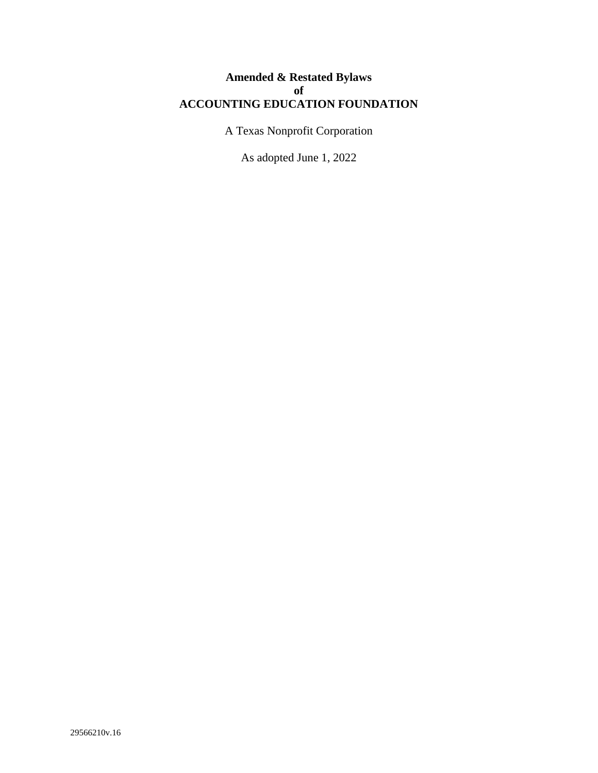# **Amended & Restated Bylaws of ACCOUNTING EDUCATION FOUNDATION**

A Texas Nonprofit Corporation

As adopted June 1, 2022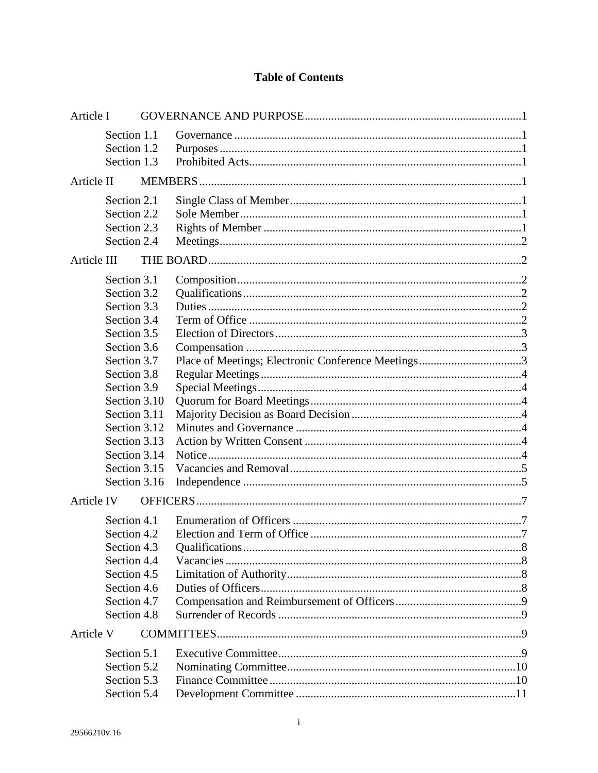# **Table of Contents**

| Article I   |                                                                                                                                                                                                                                                     |  |                                                    |  |
|-------------|-----------------------------------------------------------------------------------------------------------------------------------------------------------------------------------------------------------------------------------------------------|--|----------------------------------------------------|--|
|             | Section 1.1<br>Section 1.2<br>Section 1.3                                                                                                                                                                                                           |  |                                                    |  |
| Article II  |                                                                                                                                                                                                                                                     |  |                                                    |  |
|             | Section 2.1<br>Section 2.2<br>Section 2.3<br>Section 2.4                                                                                                                                                                                            |  |                                                    |  |
| Article III |                                                                                                                                                                                                                                                     |  |                                                    |  |
|             | Section 3.1<br>Section 3.2<br>Section 3.3<br>Section 3.4<br>Section 3.5<br>Section 3.6<br>Section 3.7<br>Section 3.8<br>Section 3.9<br>Section 3.10<br>Section 3.11<br>Section 3.12<br>Section 3.13<br>Section 3.14<br>Section 3.15<br>Section 3.16 |  | Place of Meetings; Electronic Conference Meetings3 |  |
| Article IV  |                                                                                                                                                                                                                                                     |  |                                                    |  |
|             | Section 4.1<br>Section 4.2<br>Section 4.3<br>Section 4.4<br>Section 4.5<br>Section 4.6<br>Section 4.7<br>Section 4.8                                                                                                                                |  |                                                    |  |
| Article V   |                                                                                                                                                                                                                                                     |  |                                                    |  |
|             | Section 5.1<br>Section 5.2<br>Section 5.3<br>Section 5.4                                                                                                                                                                                            |  |                                                    |  |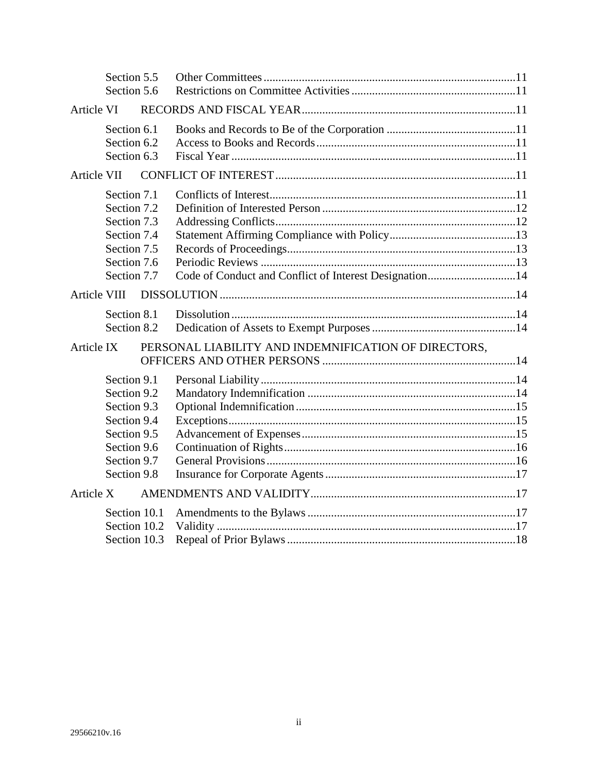|              | Section 5.5                                                                                                          |  |                                                        |  |
|--------------|----------------------------------------------------------------------------------------------------------------------|--|--------------------------------------------------------|--|
|              | Section 5.6                                                                                                          |  |                                                        |  |
| Article VI   |                                                                                                                      |  |                                                        |  |
|              | Section 6.1<br>Section 6.2<br>Section 6.3                                                                            |  |                                                        |  |
| Article VII  |                                                                                                                      |  |                                                        |  |
|              | Section 7.1<br>Section 7.2<br>Section 7.3<br>Section 7.4<br>Section 7.5<br>Section 7.6<br>Section 7.7                |  | Code of Conduct and Conflict of Interest Designation14 |  |
| Article VIII |                                                                                                                      |  |                                                        |  |
|              | Section 8.1<br>Section 8.2                                                                                           |  |                                                        |  |
| Article IX   |                                                                                                                      |  | PERSONAL LIABILITY AND INDEMNIFICATION OF DIRECTORS,   |  |
|              | Section 9.1<br>Section 9.2<br>Section 9.3<br>Section 9.4<br>Section 9.5<br>Section 9.6<br>Section 9.7<br>Section 9.8 |  |                                                        |  |
| Article X    |                                                                                                                      |  |                                                        |  |
|              | Section 10.1<br>Section 10.2<br>Section 10.3                                                                         |  |                                                        |  |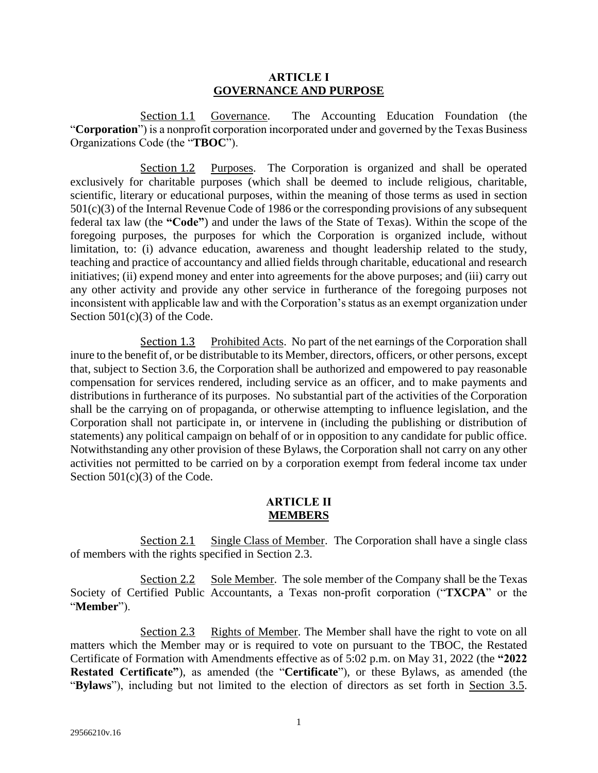#### **ARTICLE I GOVERNANCE AND PURPOSE**

<span id="page-3-1"></span><span id="page-3-0"></span>Section 1.1 Governance. The Accounting Education Foundation (the "**Corporation**") is a nonprofit corporation incorporated under and governed by the Texas Business Organizations Code (the "**TBOC**").

<span id="page-3-2"></span>Section 1.2 Purposes. The Corporation is organized and shall be operated exclusively for charitable purposes (which shall be deemed to include religious, charitable, scientific, literary or educational purposes, within the meaning of those terms as used in section 501(c)(3) of the Internal Revenue Code of 1986 or the corresponding provisions of any subsequent federal tax law (the **"Code"**) and under the laws of the State of Texas). Within the scope of the foregoing purposes, the purposes for which the Corporation is organized include, without limitation, to: (i) advance education, awareness and thought leadership related to the study, teaching and practice of accountancy and allied fields through charitable, educational and research initiatives; (ii) expend money and enter into agreements for the above purposes; and (iii) carry out any other activity and provide any other service in furtherance of the foregoing purposes not inconsistent with applicable law and with the Corporation's status as an exempt organization under Section  $501(c)(3)$  of the Code.

<span id="page-3-3"></span>Section 1.3 Prohibited Acts. No part of the net earnings of the Corporation shall inure to the benefit of, or be distributable to its Member, directors, officers, or other persons, except that, subject to Section 3.6, the Corporation shall be authorized and empowered to pay reasonable compensation for services rendered, including service as an officer, and to make payments and distributions in furtherance of its purposes. No substantial part of the activities of the Corporation shall be the carrying on of propaganda, or otherwise attempting to influence legislation, and the Corporation shall not participate in, or intervene in (including the publishing or distribution of statements) any political campaign on behalf of or in opposition to any candidate for public office. Notwithstanding any other provision of these Bylaws, the Corporation shall not carry on any other activities not permitted to be carried on by a corporation exempt from federal income tax under Section  $501(c)(3)$  of the Code.

#### **ARTICLE II MEMBERS**

<span id="page-3-5"></span><span id="page-3-4"></span>Section 2.1 Single Class of Member. The Corporation shall have a single class of members with the rights specified in [Section 2.3.](#page-3-7)

<span id="page-3-6"></span>Section 2.2 Sole Member. The sole member of the Company shall be the Texas Society of Certified Public Accountants, a Texas non-profit corporation ("**TXCPA**" or the "**Member**").

<span id="page-3-7"></span>Section 2.3 Rights of Member. The Member shall have the right to vote on all matters which the Member may or is required to vote on pursuant to the TBOC, the Restated Certificate of Formation with Amendments effective as of 5:02 p.m. on May 31, 2022 (the **"2022 Restated Certificate"**), as amended (the "**Certificate**"), or these Bylaws, as amended (the "**Bylaws**"), including but not limited to the election of directors as set forth in [Section 3.5.](#page-5-0)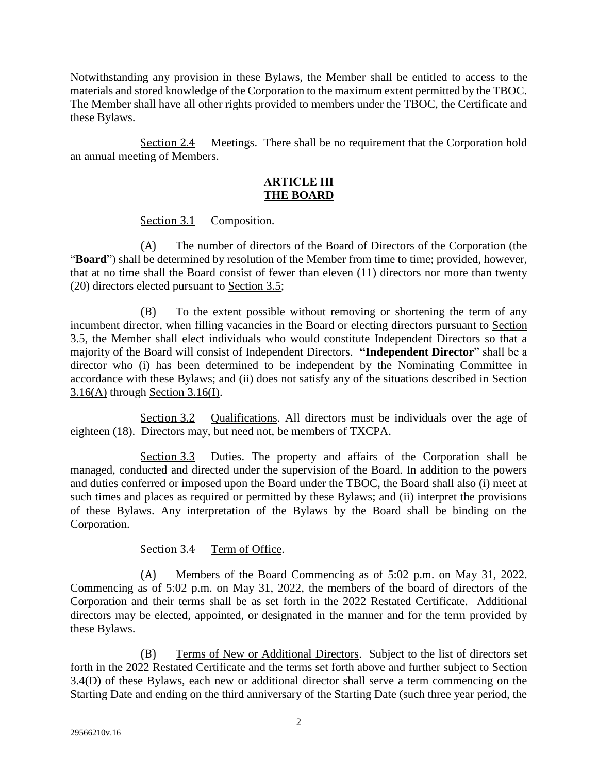Notwithstanding any provision in these Bylaws, the Member shall be entitled to access to the materials and stored knowledge of the Corporation to the maximum extent permitted by the TBOC. The Member shall have all other rights provided to members under the TBOC, the Certificate and these Bylaws.

<span id="page-4-1"></span><span id="page-4-0"></span>Section 2.4 Meetings. There shall be no requirement that the Corporation hold an annual meeting of Members.

#### **ARTICLE III THE BOARD**

Section 3.1 Composition.

<span id="page-4-2"></span>(A) The number of directors of the Board of Directors of the Corporation (the "**Board**") shall be determined by resolution of the Member from time to time; provided, however, that at no time shall the Board consist of fewer than eleven (11) directors nor more than twenty (20) directors elected pursuant to [Section 3.5;](#page-5-0)

(B) To the extent possible without removing or shortening the term of any incumbent director, when filling vacancies in the Board or electing directors pursuant to [Section](#page-5-0)  [3.5,](#page-5-0) the Member shall elect individuals who would constitute Independent Directors so that a majority of the Board will consist of Independent Directors. **"Independent Director**" shall be a director who (i) has been determined to be independent by the Nominating Committee in accordance with these Bylaws; and (ii) does not satisfy any of the situations described in [Section](#page-7-2)  [3.16\(A\)](#page-7-2) through [Section 3.16\(I\).](#page-9-3)

<span id="page-4-3"></span>Section 3.2 Qualifications. All directors must be individuals over the age of eighteen (18). Directors may, but need not, be members of TXCPA.

<span id="page-4-4"></span>Section 3.3 Duties. The property and affairs of the Corporation shall be managed, conducted and directed under the supervision of the Board. In addition to the powers and duties conferred or imposed upon the Board under the TBOC, the Board shall also (i) meet at such times and places as required or permitted by these Bylaws; and (ii) interpret the provisions of these Bylaws. Any interpretation of the Bylaws by the Board shall be binding on the Corporation.

Section 3.4 Term of Office.

<span id="page-4-5"></span>(A) Members of the Board Commencing as of 5:02 p.m. on May 31, 2022. Commencing as of 5:02 p.m. on May 31, 2022, the members of the board of directors of the Corporation and their terms shall be as set forth in the 2022 Restated Certificate. Additional directors may be elected, appointed, or designated in the manner and for the term provided by these Bylaws.

(B) Terms of New or Additional Directors. Subject to the list of directors set forth in the 2022 Restated Certificate and the terms set forth above and further subject to [Section](#page-5-3)  [3.4\(D\)](#page-5-3) of these Bylaws, each new or additional director shall serve a term commencing on the Starting Date and ending on the third anniversary of the Starting Date (such three year period, the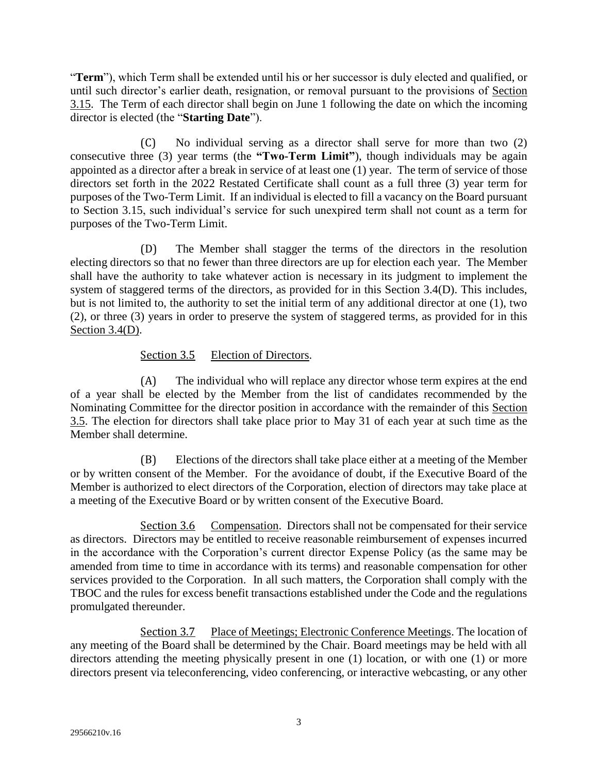"**Term**"), which Term shall be extended until his or her successor is duly elected and qualified, or until such director's earlier death, resignation, or removal pursuant to the provisions of [Section](#page-7-0)  [3.15.](#page-7-0) The Term of each director shall begin on June 1 following the date on which the incoming director is elected (the "**Starting Date**").

(C) No individual serving as a director shall serve for more than two (2) consecutive three (3) year terms (the **"Two-Term Limit"**), though individuals may be again appointed as a director after a break in service of at least one (1) year. The term of service of those directors set forth in the 2022 Restated Certificate shall count as a full three (3) year term for purposes of the Two-Term Limit. If an individual is elected to fill a vacancy on the Board pursuant to Section 3.15, such individual's service for such unexpired term shall not count as a term for purposes of the Two-Term Limit.

<span id="page-5-3"></span>(D) The Member shall stagger the terms of the directors in the resolution electing directors so that no fewer than three directors are up for election each year. The Member shall have the authority to take whatever action is necessary in its judgment to implement the system of staggered terms of the directors, as provided for in this [Section 3.4\(D\).](#page-5-3) This includes, but is not limited to, the authority to set the initial term of any additional director at one (1), two (2), or three (3) years in order to preserve the system of staggered terms, as provided for in this [Section 3.4\(D\).](#page-5-3)

# Section 3.5 Election of Directors.

<span id="page-5-0"></span>(A) The individual who will replace any director whose term expires at the end of a year shall be elected by the Member from the list of candidates recommended by the Nominating Committee for the director position in accordance with the remainder of this [Section](#page-5-0)  [3.5.](#page-5-0) The election for directors shall take place prior to May 31 of each year at such time as the Member shall determine.

(B) Elections of the directors shall take place either at a meeting of the Member or by written consent of the Member. For the avoidance of doubt, if the Executive Board of the Member is authorized to elect directors of the Corporation, election of directors may take place at a meeting of the Executive Board or by written consent of the Executive Board.

<span id="page-5-1"></span>Section 3.6 Compensation. Directors shall not be compensated for their service as directors. Directors may be entitled to receive reasonable reimbursement of expenses incurred in the accordance with the Corporation's current director Expense Policy (as the same may be amended from time to time in accordance with its terms) and reasonable compensation for other services provided to the Corporation. In all such matters, the Corporation shall comply with the TBOC and the rules for excess benefit transactions established under the Code and the regulations promulgated thereunder.

<span id="page-5-2"></span>Section 3.7 Place of Meetings; Electronic Conference Meetings. The location of any meeting of the Board shall be determined by the Chair. Board meetings may be held with all directors attending the meeting physically present in one (1) location, or with one (1) or more directors present via teleconferencing, video conferencing, or interactive webcasting, or any other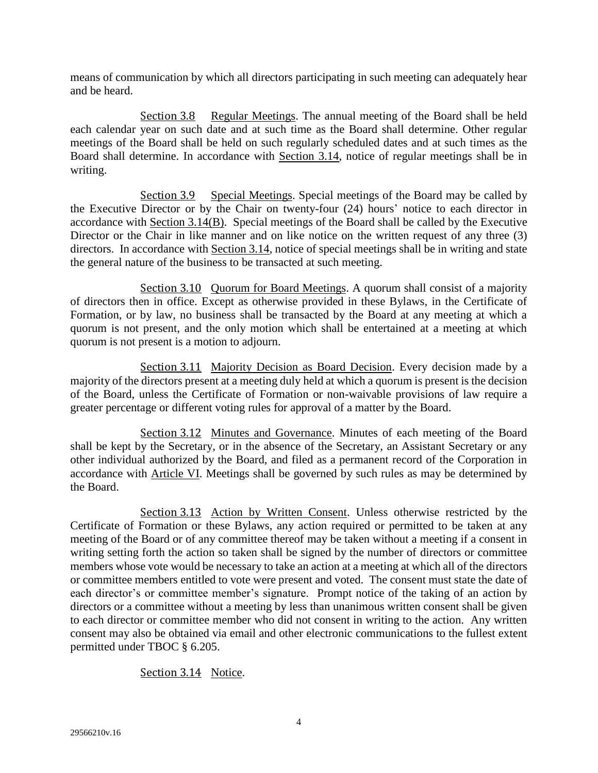means of communication by which all directors participating in such meeting can adequately hear and be heard.

<span id="page-6-0"></span>Section 3.8 Regular Meetings. The annual meeting of the Board shall be held each calendar year on such date and at such time as the Board shall determine. Other regular meetings of the Board shall be held on such regularly scheduled dates and at such times as the Board shall determine. In accordance with [Section 3.14,](#page-6-6) notice of regular meetings shall be in writing.

<span id="page-6-1"></span>Section 3.9 Special Meetings. Special meetings of the Board may be called by the Executive Director or by the Chair on twenty-four (24) hours' notice to each director in accordance with [Section 3.14\(B\).](#page-7-3) Special meetings of the Board shall be called by the Executive Director or the Chair in like manner and on like notice on the written request of any three (3) directors. In accordance with [Section 3.14,](#page-6-6) notice of special meetings shall be in writing and state the general nature of the business to be transacted at such meeting.

<span id="page-6-2"></span>Section 3.10 Quorum for Board Meetings. A quorum shall consist of a majority of directors then in office. Except as otherwise provided in these Bylaws, in the Certificate of Formation, or by law, no business shall be transacted by the Board at any meeting at which a quorum is not present, and the only motion which shall be entertained at a meeting at which quorum is not present is a motion to adjourn.

<span id="page-6-3"></span>Section 3.11 Majority Decision as Board Decision. Every decision made by a majority of the directors present at a meeting duly held at which a quorum is present is the decision of the Board, unless the Certificate of Formation or non-waivable provisions of law require a greater percentage or different voting rules for approval of a matter by the Board.

<span id="page-6-4"></span>Section 3.12 Minutes and Governance. Minutes of each meeting of the Board shall be kept by the Secretary, or in the absence of the Secretary, an Assistant Secretary or any other individual authorized by the Board, and filed as a permanent record of the Corporation in accordance with [Article VI.](#page-13-9) Meetings shall be governed by such rules as may be determined by the Board.

<span id="page-6-5"></span>Section 3.13 Action by Written Consent. Unless otherwise restricted by the Certificate of Formation or these Bylaws, any action required or permitted to be taken at any meeting of the Board or of any committee thereof may be taken without a meeting if a consent in writing setting forth the action so taken shall be signed by the number of directors or committee members whose vote would be necessary to take an action at a meeting at which all of the directors or committee members entitled to vote were present and voted. The consent must state the date of each director's or committee member's signature. Prompt notice of the taking of an action by directors or a committee without a meeting by less than unanimous written consent shall be given to each director or committee member who did not consent in writing to the action. Any written consent may also be obtained via email and other electronic communications to the fullest extent permitted under TBOC § 6.205.

<span id="page-6-6"></span>Section 3.14 Notice.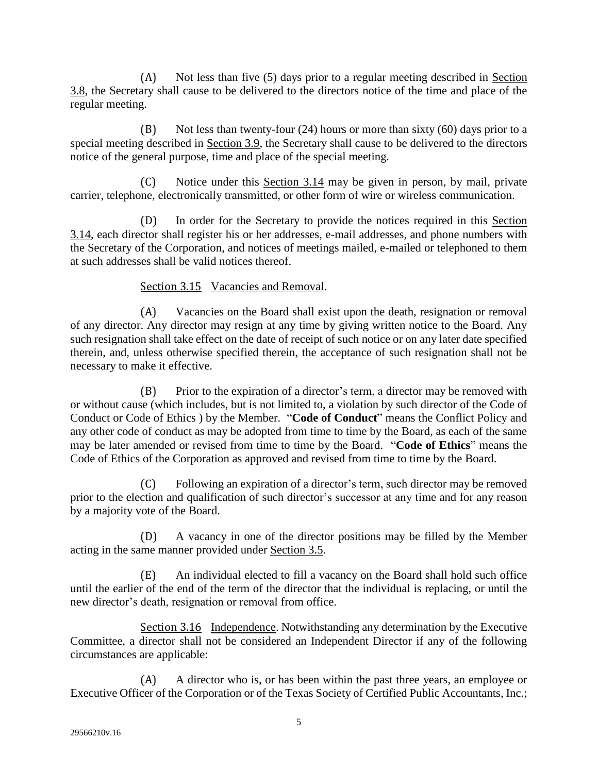(A) Not less than five (5) days prior to a regular meeting described in [Section](#page-6-0)  [3.8,](#page-6-0) the Secretary shall cause to be delivered to the directors notice of the time and place of the regular meeting.

<span id="page-7-3"></span>(B) Not less than twenty-four (24) hours or more than sixty (60) days prior to a special meeting described in [Section 3.9,](#page-6-1) the Secretary shall cause to be delivered to the directors notice of the general purpose, time and place of the special meeting.

Notice under this [Section 3.14](#page-6-6) may be given in person, by mail, private carrier, telephone, electronically transmitted, or other form of wire or wireless communication.

(D) In order for the Secretary to provide the notices required in this [Section](#page-6-6)  [3.14,](#page-6-6) each director shall register his or her addresses, e-mail addresses, and phone numbers with the Secretary of the Corporation, and notices of meetings mailed, e-mailed or telephoned to them at such addresses shall be valid notices thereof.

# Section 3.15 Vacancies and Removal.

<span id="page-7-0"></span>(A) Vacancies on the Board shall exist upon the death, resignation or removal of any director. Any director may resign at any time by giving written notice to the Board. Any such resignation shall take effect on the date of receipt of such notice or on any later date specified therein, and, unless otherwise specified therein, the acceptance of such resignation shall not be necessary to make it effective.

(B) Prior to the expiration of a director's term, a director may be removed with or without cause (which includes, but is not limited to, a violation by such director of the Code of Conduct or Code of Ethics ) by the Member. "**Code of Conduct**" means the Conflict Policy and any other code of conduct as may be adopted from time to time by the Board, as each of the same may be later amended or revised from time to time by the Board. "**Code of Ethics**" means the Code of Ethics of the Corporation as approved and revised from time to time by the Board.

(C) Following an expiration of a director's term, such director may be removed prior to the election and qualification of such director's successor at any time and for any reason by a majority vote of the Board.

(D) A vacancy in one of the director positions may be filled by the Member acting in the same manner provided under [Section 3.5.](#page-5-0)

(E) An individual elected to fill a vacancy on the Board shall hold such office until the earlier of the end of the term of the director that the individual is replacing, or until the new director's death, resignation or removal from office.

<span id="page-7-1"></span>Section 3.16 Independence. Notwithstanding any determination by the Executive Committee, a director shall not be considered an Independent Director if any of the following circumstances are applicable:

<span id="page-7-2"></span>(A) A director who is, or has been within the past three years, an employee or Executive Officer of the Corporation or of the Texas Society of Certified Public Accountants, Inc.;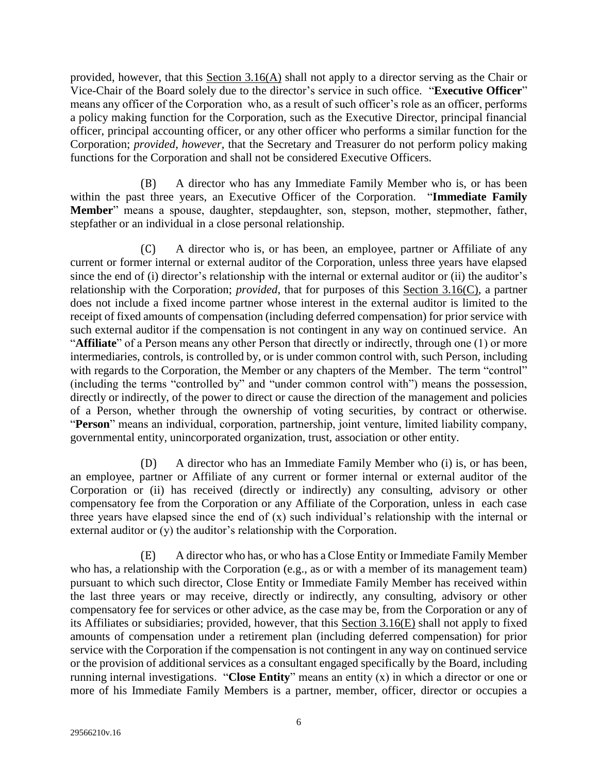provided, however, that this  $S$ ection  $3.16(A)$  shall not apply to a director serving as the Chair or Vice-Chair of the Board solely due to the director's service in such office. "**Executive Officer**" means any officer of the Corporation who, as a result of such officer's role as an officer, performs a policy making function for the Corporation, such as the Executive Director, principal financial officer, principal accounting officer, or any other officer who performs a similar function for the Corporation; *provided*, *however*, that the Secretary and Treasurer do not perform policy making functions for the Corporation and shall not be considered Executive Officers.

(B) A director who has any Immediate Family Member who is, or has been within the past three years, an Executive Officer of the Corporation. "**Immediate Family Member**" means a spouse, daughter, stepdaughter, son, stepson, mother, stepmother, father, stepfather or an individual in a close personal relationship.

<span id="page-8-0"></span>(C) A director who is, or has been, an employee, partner or Affiliate of any current or former internal or external auditor of the Corporation, unless three years have elapsed since the end of (i) director's relationship with the internal or external auditor or (ii) the auditor's relationship with the Corporation; *provided*, that for purposes of this [Section 3.16\(C\),](#page-8-0) a partner does not include a fixed income partner whose interest in the external auditor is limited to the receipt of fixed amounts of compensation (including deferred compensation) for prior service with such external auditor if the compensation is not contingent in any way on continued service. An "**Affiliate**" of a Person means any other Person that directly or indirectly, through one (1) or more intermediaries, controls, is controlled by, or is under common control with, such Person, including with regards to the Corporation, the Member or any chapters of the Member. The term "control" (including the terms "controlled by" and "under common control with") means the possession, directly or indirectly, of the power to direct or cause the direction of the management and policies of a Person, whether through the ownership of voting securities, by contract or otherwise. "**Person**" means an individual, corporation, partnership, joint venture, limited liability company, governmental entity, unincorporated organization, trust, association or other entity.

(D) A director who has an Immediate Family Member who (i) is, or has been, an employee, partner or Affiliate of any current or former internal or external auditor of the Corporation or (ii) has received (directly or indirectly) any consulting, advisory or other compensatory fee from the Corporation or any Affiliate of the Corporation, unless in each case three years have elapsed since the end of (x) such individual's relationship with the internal or external auditor or (y) the auditor's relationship with the Corporation.

<span id="page-8-1"></span>(E) A director who has, or who has a Close Entity or Immediate Family Member who has, a relationship with the Corporation (e.g., as or with a member of its management team) pursuant to which such director, Close Entity or Immediate Family Member has received within the last three years or may receive, directly or indirectly, any consulting, advisory or other compensatory fee for services or other advice, as the case may be, from the Corporation or any of its Affiliates or subsidiaries; provided, however, that this [Section 3.16\(E\)](#page-8-1) shall not apply to fixed amounts of compensation under a retirement plan (including deferred compensation) for prior service with the Corporation if the compensation is not contingent in any way on continued service or the provision of additional services as a consultant engaged specifically by the Board, including running internal investigations. "**Close Entity**" means an entity (x) in which a director or one or more of his Immediate Family Members is a partner, member, officer, director or occupies a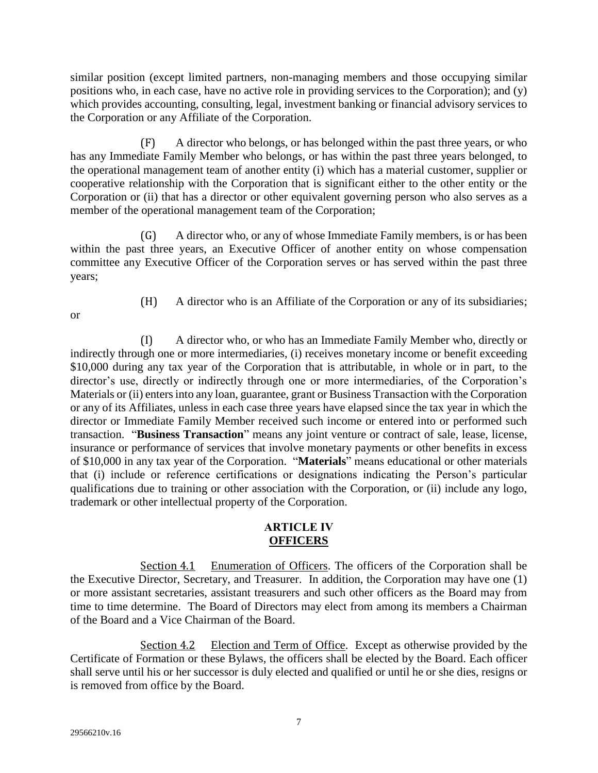similar position (except limited partners, non-managing members and those occupying similar positions who, in each case, have no active role in providing services to the Corporation); and (y) which provides accounting, consulting, legal, investment banking or financial advisory services to the Corporation or any Affiliate of the Corporation.

(F) A director who belongs, or has belonged within the past three years, or who has any Immediate Family Member who belongs, or has within the past three years belonged, to the operational management team of another entity (i) which has a material customer, supplier or cooperative relationship with the Corporation that is significant either to the other entity or the Corporation or (ii) that has a director or other equivalent governing person who also serves as a member of the operational management team of the Corporation;

(G) A director who, or any of whose Immediate Family members, is or has been within the past three years, an Executive Officer of another entity on whose compensation committee any Executive Officer of the Corporation serves or has served within the past three years;

or

(H) A director who is an Affiliate of the Corporation or any of its subsidiaries;

<span id="page-9-3"></span>(I) A director who, or who has an Immediate Family Member who, directly or indirectly through one or more intermediaries, (i) receives monetary income or benefit exceeding \$10,000 during any tax year of the Corporation that is attributable, in whole or in part, to the director's use, directly or indirectly through one or more intermediaries, of the Corporation's Materials or (ii) enters into any loan, guarantee, grant or Business Transaction with the Corporation or any of its Affiliates, unless in each case three years have elapsed since the tax year in which the director or Immediate Family Member received such income or entered into or performed such transaction. "**Business Transaction**" means any joint venture or contract of sale, lease, license, insurance or performance of services that involve monetary payments or other benefits in excess of \$10,000 in any tax year of the Corporation. "**Materials**" means educational or other materials that (i) include or reference certifications or designations indicating the Person's particular qualifications due to training or other association with the Corporation, or (ii) include any logo, trademark or other intellectual property of the Corporation.

#### **ARTICLE IV OFFICERS**

<span id="page-9-1"></span><span id="page-9-0"></span>Section 4.1 Enumeration of Officers. The officers of the Corporation shall be the Executive Director, Secretary, and Treasurer. In addition, the Corporation may have one (1) or more assistant secretaries, assistant treasurers and such other officers as the Board may from time to time determine. The Board of Directors may elect from among its members a Chairman of the Board and a Vice Chairman of the Board.

<span id="page-9-2"></span>Section 4.2 Election and Term of Office. Except as otherwise provided by the Certificate of Formation or these Bylaws, the officers shall be elected by the Board. Each officer shall serve until his or her successor is duly elected and qualified or until he or she dies, resigns or is removed from office by the Board.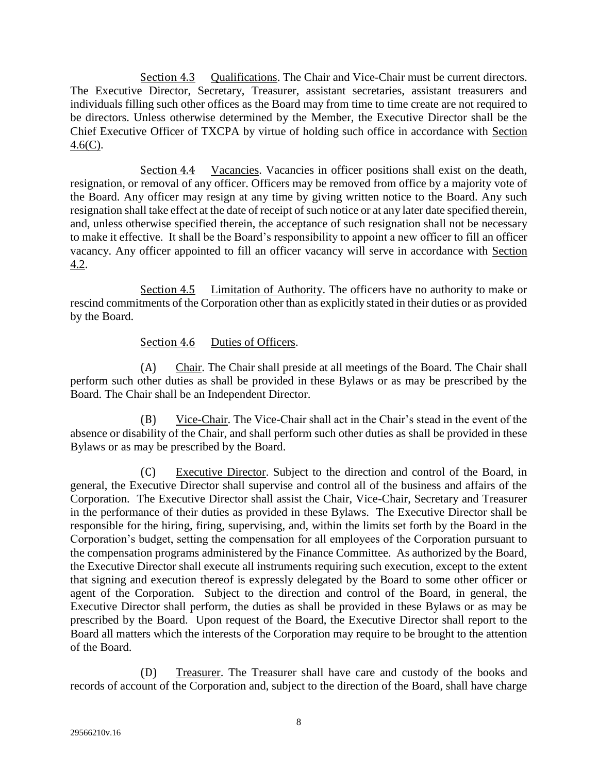<span id="page-10-0"></span>Section 4.3 Qualifications. The Chair and Vice-Chair must be current directors. The Executive Director, Secretary, Treasurer, assistant secretaries, assistant treasurers and individuals filling such other offices as the Board may from time to time create are not required to be directors. Unless otherwise determined by the Member, the Executive Director shall be the Chief Executive Officer of TXCPA by virtue of holding such office in accordance with [Section](#page-10-4)   $4.6(C)$ .

<span id="page-10-1"></span>Section 4.4 Vacancies. Vacancies in officer positions shall exist on the death, resignation, or removal of any officer. Officers may be removed from office by a majority vote of the Board. Any officer may resign at any time by giving written notice to the Board. Any such resignation shall take effect at the date of receipt of such notice or at any later date specified therein, and, unless otherwise specified therein, the acceptance of such resignation shall not be necessary to make it effective. It shall be the Board's responsibility to appoint a new officer to fill an officer vacancy. Any officer appointed to fill an officer vacancy will serve in accordance with [Section](#page-9-2)  [4.2.](#page-9-2)

<span id="page-10-2"></span>Section 4.5 Limitation of Authority. The officers have no authority to make or rescind commitments of the Corporation other than as explicitly stated in their duties or as provided by the Board.

# Section 4.6 Duties of Officers.

<span id="page-10-3"></span>(A) Chair. The Chair shall preside at all meetings of the Board. The Chair shall perform such other duties as shall be provided in these Bylaws or as may be prescribed by the Board. The Chair shall be an Independent Director.

(B) Vice-Chair. The Vice-Chair shall act in the Chair's stead in the event of the absence or disability of the Chair, and shall perform such other duties as shall be provided in these Bylaws or as may be prescribed by the Board.

<span id="page-10-4"></span>(C) Executive Director. Subject to the direction and control of the Board, in general, the Executive Director shall supervise and control all of the business and affairs of the Corporation. The Executive Director shall assist the Chair, Vice-Chair, Secretary and Treasurer in the performance of their duties as provided in these Bylaws. The Executive Director shall be responsible for the hiring, firing, supervising, and, within the limits set forth by the Board in the Corporation's budget, setting the compensation for all employees of the Corporation pursuant to the compensation programs administered by the Finance Committee. As authorized by the Board, the Executive Director shall execute all instruments requiring such execution, except to the extent that signing and execution thereof is expressly delegated by the Board to some other officer or agent of the Corporation. Subject to the direction and control of the Board, in general, the Executive Director shall perform, the duties as shall be provided in these Bylaws or as may be prescribed by the Board. Upon request of the Board, the Executive Director shall report to the Board all matters which the interests of the Corporation may require to be brought to the attention of the Board.

(D) Treasurer. The Treasurer shall have care and custody of the books and records of account of the Corporation and, subject to the direction of the Board, shall have charge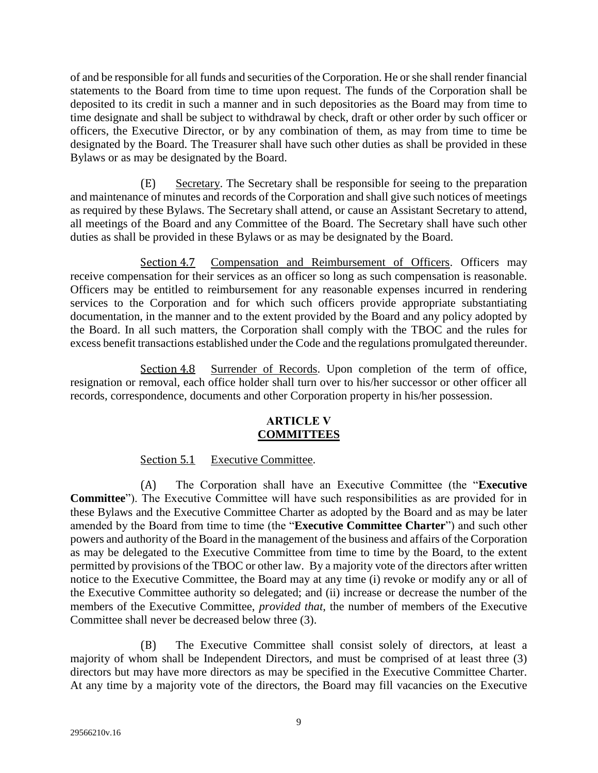of and be responsible for all funds and securities of the Corporation. He or she shall render financial statements to the Board from time to time upon request. The funds of the Corporation shall be deposited to its credit in such a manner and in such depositories as the Board may from time to time designate and shall be subject to withdrawal by check, draft or other order by such officer or officers, the Executive Director, or by any combination of them, as may from time to time be designated by the Board. The Treasurer shall have such other duties as shall be provided in these Bylaws or as may be designated by the Board.

(E) Secretary. The Secretary shall be responsible for seeing to the preparation and maintenance of minutes and records of the Corporation and shall give such notices of meetings as required by these Bylaws. The Secretary shall attend, or cause an Assistant Secretary to attend, all meetings of the Board and any Committee of the Board. The Secretary shall have such other duties as shall be provided in these Bylaws or as may be designated by the Board.

<span id="page-11-0"></span>Section 4.7 Compensation and Reimbursement of Officers. Officers may receive compensation for their services as an officer so long as such compensation is reasonable. Officers may be entitled to reimbursement for any reasonable expenses incurred in rendering services to the Corporation and for which such officers provide appropriate substantiating documentation, in the manner and to the extent provided by the Board and any policy adopted by the Board. In all such matters, the Corporation shall comply with the TBOC and the rules for excess benefit transactions established under the Code and the regulations promulgated thereunder.

<span id="page-11-2"></span><span id="page-11-1"></span>Section 4.8 Surrender of Records. Upon completion of the term of office, resignation or removal, each office holder shall turn over to his/her successor or other officer all records, correspondence, documents and other Corporation property in his/her possession.

### **ARTICLE V COMMITTEES**

# Section 5.1 Executive Committee.

<span id="page-11-4"></span><span id="page-11-3"></span>(A) The Corporation shall have an Executive Committee (the "**Executive Committee**"). The Executive Committee will have such responsibilities as are provided for in these Bylaws and the Executive Committee Charter as adopted by the Board and as may be later amended by the Board from time to time (the "**Executive Committee Charter**") and such other powers and authority of the Board in the management of the business and affairs of the Corporation as may be delegated to the Executive Committee from time to time by the Board, to the extent permitted by provisions of the TBOC or other law. By a majority vote of the directors after written notice to the Executive Committee, the Board may at any time (i) revoke or modify any or all of the Executive Committee authority so delegated; and (ii) increase or decrease the number of the members of the Executive Committee, *provided that*, the number of members of the Executive Committee shall never be decreased below three (3).

(B) The Executive Committee shall consist solely of directors, at least a majority of whom shall be Independent Directors, and must be comprised of at least three (3) directors but may have more directors as may be specified in the Executive Committee Charter. At any time by a majority vote of the directors, the Board may fill vacancies on the Executive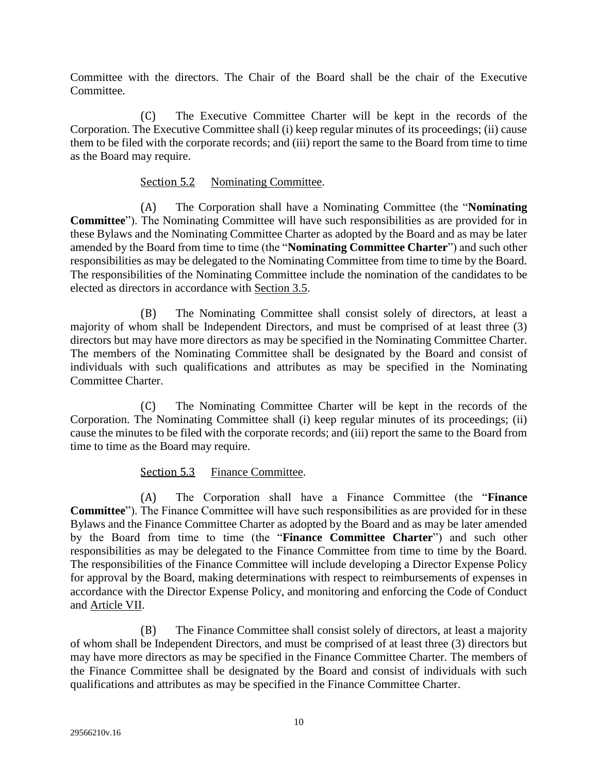Committee with the directors. The Chair of the Board shall be the chair of the Executive Committee.

(C) The Executive Committee Charter will be kept in the records of the Corporation. The Executive Committee shall (i) keep regular minutes of its proceedings; (ii) cause them to be filed with the corporate records; and (iii) report the same to the Board from time to time as the Board may require.

# Section 5.2 Nominating Committee.

<span id="page-12-0"></span>(A) The Corporation shall have a Nominating Committee (the "**Nominating Committee**"). The Nominating Committee will have such responsibilities as are provided for in these Bylaws and the Nominating Committee Charter as adopted by the Board and as may be later amended by the Board from time to time (the "**Nominating Committee Charter**") and such other responsibilities as may be delegated to the Nominating Committee from time to time by the Board. The responsibilities of the Nominating Committee include the nomination of the candidates to be elected as directors in accordance with [Section 3.5.](#page-5-0)

(B) The Nominating Committee shall consist solely of directors, at least a majority of whom shall be Independent Directors, and must be comprised of at least three (3) directors but may have more directors as may be specified in the Nominating Committee Charter. The members of the Nominating Committee shall be designated by the Board and consist of individuals with such qualifications and attributes as may be specified in the Nominating Committee Charter.

(C) The Nominating Committee Charter will be kept in the records of the Corporation. The Nominating Committee shall (i) keep regular minutes of its proceedings; (ii) cause the minutes to be filed with the corporate records; and (iii) report the same to the Board from time to time as the Board may require.

# Section 5.3 Finance Committee.

<span id="page-12-1"></span>(A) The Corporation shall have a Finance Committee (the "**Finance Committee**"). The Finance Committee will have such responsibilities as are provided for in these Bylaws and the Finance Committee Charter as adopted by the Board and as may be later amended by the Board from time to time (the "**Finance Committee Charter**") and such other responsibilities as may be delegated to the Finance Committee from time to time by the Board. The responsibilities of the Finance Committee will include developing a Director Expense Policy for approval by the Board, making determinations with respect to reimbursements of expenses in accordance with the Director Expense Policy, and monitoring and enforcing the Code of Conduct and [Article VII.](#page-13-10)

(B) The Finance Committee shall consist solely of directors, at least a majority of whom shall be Independent Directors, and must be comprised of at least three (3) directors but may have more directors as may be specified in the Finance Committee Charter. The members of the Finance Committee shall be designated by the Board and consist of individuals with such qualifications and attributes as may be specified in the Finance Committee Charter.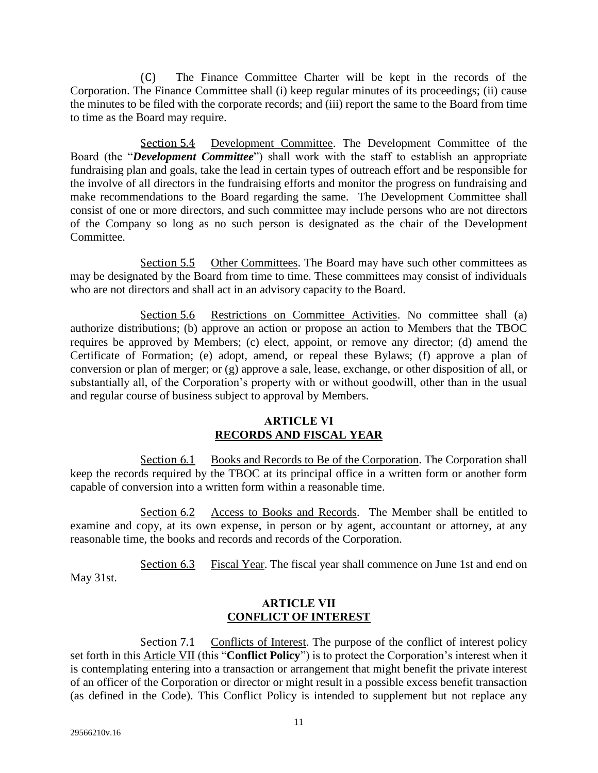(C) The Finance Committee Charter will be kept in the records of the Corporation. The Finance Committee shall (i) keep regular minutes of its proceedings; (ii) cause the minutes to be filed with the corporate records; and (iii) report the same to the Board from time to time as the Board may require.

<span id="page-13-0"></span>Section 5.4 Development Committee. The Development Committee of the Board (the "*Development Committee*") shall work with the staff to establish an appropriate fundraising plan and goals, take the lead in certain types of outreach effort and be responsible for the involve of all directors in the fundraising efforts and monitor the progress on fundraising and make recommendations to the Board regarding the same. The Development Committee shall consist of one or more directors, and such committee may include persons who are not directors of the Company so long as no such person is designated as the chair of the Development Committee.

<span id="page-13-1"></span>Section 5.5 Other Committees. The Board may have such other committees as may be designated by the Board from time to time. These committees may consist of individuals who are not directors and shall act in an advisory capacity to the Board.

<span id="page-13-2"></span>Section 5.6 Restrictions on Committee Activities. No committee shall (a) authorize distributions; (b) approve an action or propose an action to Members that the TBOC requires be approved by Members; (c) elect, appoint, or remove any director; (d) amend the Certificate of Formation; (e) adopt, amend, or repeal these Bylaws; (f) approve a plan of conversion or plan of merger; or (g) approve a sale, lease, exchange, or other disposition of all, or substantially all, of the Corporation's property with or without goodwill, other than in the usual and regular course of business subject to approval by Members.

### **ARTICLE VI RECORDS AND FISCAL YEAR**

<span id="page-13-9"></span><span id="page-13-4"></span><span id="page-13-3"></span>Section 6.1 Books and Records to Be of the Corporation. The Corporation shall keep the records required by the TBOC at its principal office in a written form or another form capable of conversion into a written form within a reasonable time.

<span id="page-13-5"></span>Section 6.2 Access to Books and Records. The Member shall be entitled to examine and copy, at its own expense, in person or by agent, accountant or attorney, at any reasonable time, the books and records and records of the Corporation.

<span id="page-13-7"></span><span id="page-13-6"></span>Section 6.3 Fiscal Year. The fiscal year shall commence on June 1st and end on May 31st.

### **ARTICLE VII CONFLICT OF INTEREST**

<span id="page-13-10"></span><span id="page-13-8"></span>Section 7.1 Conflicts of Interest. The purpose of the conflict of interest policy set forth in this [Article VII](#page-13-10) (this "**Conflict Policy**") is to protect the Corporation's interest when it is contemplating entering into a transaction or arrangement that might benefit the private interest of an officer of the Corporation or director or might result in a possible excess benefit transaction (as defined in the Code). This Conflict Policy is intended to supplement but not replace any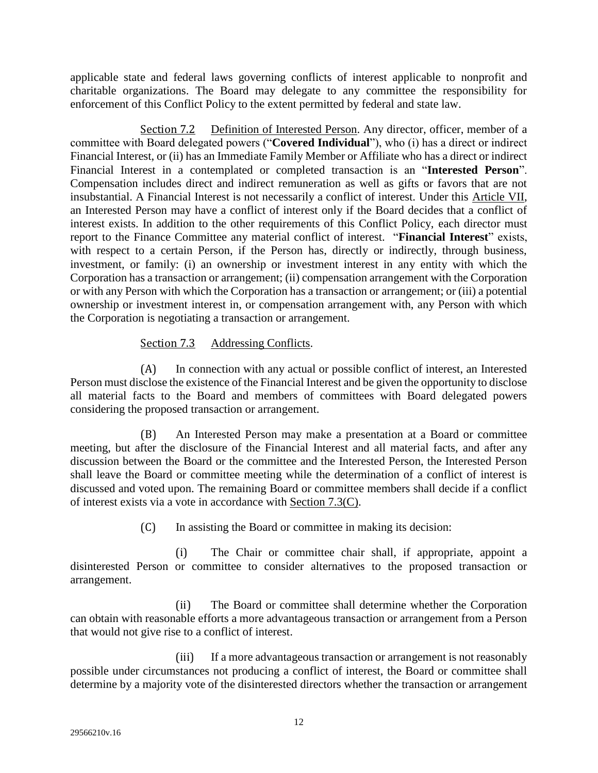applicable state and federal laws governing conflicts of interest applicable to nonprofit and charitable organizations. The Board may delegate to any committee the responsibility for enforcement of this Conflict Policy to the extent permitted by federal and state law.

<span id="page-14-0"></span>Section 7.2 Definition of Interested Person. Any director, officer, member of a committee with Board delegated powers ("**Covered Individual**"), who (i) has a direct or indirect Financial Interest, or (ii) has an Immediate Family Member or Affiliate who has a direct or indirect Financial Interest in a contemplated or completed transaction is an "**Interested Person**". Compensation includes direct and indirect remuneration as well as gifts or favors that are not insubstantial. A Financial Interest is not necessarily a conflict of interest. Under this [Article VII,](#page-13-10) an Interested Person may have a conflict of interest only if the Board decides that a conflict of interest exists. In addition to the other requirements of this Conflict Policy, each director must report to the Finance Committee any material conflict of interest. "**Financial Interest**" exists, with respect to a certain Person, if the Person has, directly or indirectly, through business, investment, or family: (i) an ownership or investment interest in any entity with which the Corporation has a transaction or arrangement; (ii) compensation arrangement with the Corporation or with any Person with which the Corporation has a transaction or arrangement; or (iii) a potential ownership or investment interest in, or compensation arrangement with, any Person with which the Corporation is negotiating a transaction or arrangement.

# Section 7.3 Addressing Conflicts.

<span id="page-14-1"></span>(A) In connection with any actual or possible conflict of interest, an Interested Person must disclose the existence of the Financial Interest and be given the opportunity to disclose all material facts to the Board and members of committees with Board delegated powers considering the proposed transaction or arrangement.

(B) An Interested Person may make a presentation at a Board or committee meeting, but after the disclosure of the Financial Interest and all material facts, and after any discussion between the Board or the committee and the Interested Person, the Interested Person shall leave the Board or committee meeting while the determination of a conflict of interest is discussed and voted upon. The remaining Board or committee members shall decide if a conflict of interest exists via a vote in accordance with [Section 7.3\(C\).](#page-14-2)

(C) In assisting the Board or committee in making its decision:

<span id="page-14-2"></span>(i) The Chair or committee chair shall, if appropriate, appoint a disinterested Person or committee to consider alternatives to the proposed transaction or arrangement.

(ii) The Board or committee shall determine whether the Corporation can obtain with reasonable efforts a more advantageous transaction or arrangement from a Person that would not give rise to a conflict of interest.

(iii) If a more advantageous transaction or arrangement is not reasonably possible under circumstances not producing a conflict of interest, the Board or committee shall determine by a majority vote of the disinterested directors whether the transaction or arrangement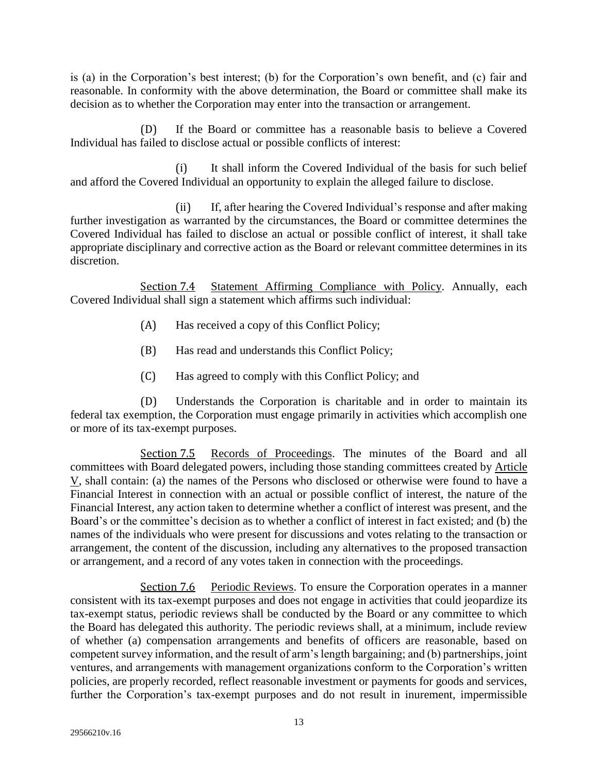is (a) in the Corporation's best interest; (b) for the Corporation's own benefit, and (c) fair and reasonable. In conformity with the above determination, the Board or committee shall make its decision as to whether the Corporation may enter into the transaction or arrangement.

(D) If the Board or committee has a reasonable basis to believe a Covered Individual has failed to disclose actual or possible conflicts of interest:

(i) It shall inform the Covered Individual of the basis for such belief and afford the Covered Individual an opportunity to explain the alleged failure to disclose.

(ii) If, after hearing the Covered Individual's response and after making further investigation as warranted by the circumstances, the Board or committee determines the Covered Individual has failed to disclose an actual or possible conflict of interest, it shall take appropriate disciplinary and corrective action as the Board or relevant committee determines in its discretion.

<span id="page-15-0"></span>Section 7.4 Statement Affirming Compliance with Policy. Annually, each Covered Individual shall sign a statement which affirms such individual:

- (A) Has received a copy of this Conflict Policy;
- (B) Has read and understands this Conflict Policy;
- (C) Has agreed to comply with this Conflict Policy; and

(D) Understands the Corporation is charitable and in order to maintain its federal tax exemption, the Corporation must engage primarily in activities which accomplish one or more of its tax-exempt purposes.

<span id="page-15-1"></span>Section 7.5 Records of Proceedings. The minutes of the Board and all committees with Board delegated powers, including those standing committees created by [Article](#page-11-4)  [V,](#page-11-4) shall contain: (a) the names of the Persons who disclosed or otherwise were found to have a Financial Interest in connection with an actual or possible conflict of interest, the nature of the Financial Interest, any action taken to determine whether a conflict of interest was present, and the Board's or the committee's decision as to whether a conflict of interest in fact existed; and (b) the names of the individuals who were present for discussions and votes relating to the transaction or arrangement, the content of the discussion, including any alternatives to the proposed transaction or arrangement, and a record of any votes taken in connection with the proceedings.

<span id="page-15-2"></span>Section 7.6 Periodic Reviews. To ensure the Corporation operates in a manner consistent with its tax-exempt purposes and does not engage in activities that could jeopardize its tax-exempt status, periodic reviews shall be conducted by the Board or any committee to which the Board has delegated this authority. The periodic reviews shall, at a minimum, include review of whether (a) compensation arrangements and benefits of officers are reasonable, based on competent survey information, and the result of arm's length bargaining; and (b) partnerships, joint ventures, and arrangements with management organizations conform to the Corporation's written policies, are properly recorded, reflect reasonable investment or payments for goods and services, further the Corporation's tax-exempt purposes and do not result in inurement, impermissible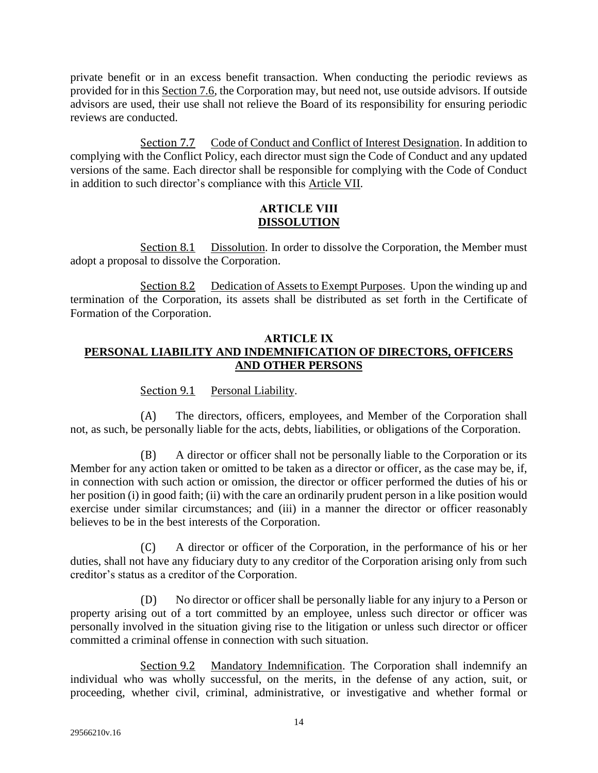private benefit or in an excess benefit transaction. When conducting the periodic reviews as provided for in this [Section 7.6,](#page-15-2) the Corporation may, but need not, use outside advisors. If outside advisors are used, their use shall not relieve the Board of its responsibility for ensuring periodic reviews are conducted.

<span id="page-16-0"></span>Section 7.7 Code of Conduct and Conflict of Interest Designation. In addition to complying with the Conflict Policy, each director must sign the Code of Conduct and any updated versions of the same. Each director shall be responsible for complying with the Code of Conduct in addition to such director's compliance with this [Article VII.](#page-13-10)

### **ARTICLE VIII DISSOLUTION**

<span id="page-16-2"></span><span id="page-16-1"></span>Section 8.1 Dissolution. In order to dissolve the Corporation, the Member must adopt a proposal to dissolve the Corporation.

<span id="page-16-3"></span>Section 8.2 Dedication of Assets to Exempt Purposes. Upon the winding up and termination of the Corporation, its assets shall be distributed as set forth in the Certificate of Formation of the Corporation.

### <span id="page-16-7"></span><span id="page-16-4"></span>**ARTICLE IX PERSONAL LIABILITY AND INDEMNIFICATION OF DIRECTORS, OFFICERS AND OTHER PERSONS**

Section 9.1 Personal Liability.

<span id="page-16-5"></span>(A) The directors, officers, employees, and Member of the Corporation shall not, as such, be personally liable for the acts, debts, liabilities, or obligations of the Corporation.

(B) A director or officer shall not be personally liable to the Corporation or its Member for any action taken or omitted to be taken as a director or officer, as the case may be, if, in connection with such action or omission, the director or officer performed the duties of his or her position (i) in good faith; (ii) with the care an ordinarily prudent person in a like position would exercise under similar circumstances; and (iii) in a manner the director or officer reasonably believes to be in the best interests of the Corporation.

(C) A director or officer of the Corporation, in the performance of his or her duties, shall not have any fiduciary duty to any creditor of the Corporation arising only from such creditor's status as a creditor of the Corporation.

(D) No director or officer shall be personally liable for any injury to a Person or property arising out of a tort committed by an employee, unless such director or officer was personally involved in the situation giving rise to the litigation or unless such director or officer committed a criminal offense in connection with such situation.

<span id="page-16-6"></span>Section 9.2 Mandatory Indemnification. The Corporation shall indemnify an individual who was wholly successful, on the merits, in the defense of any action, suit, or proceeding, whether civil, criminal, administrative, or investigative and whether formal or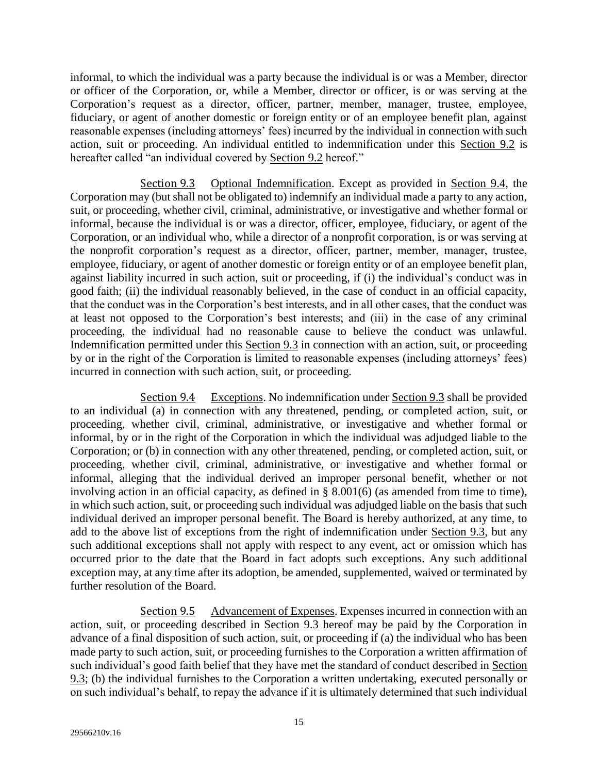informal, to which the individual was a party because the individual is or was a Member, director or officer of the Corporation, or, while a Member, director or officer, is or was serving at the Corporation's request as a director, officer, partner, member, manager, trustee, employee, fiduciary, or agent of another domestic or foreign entity or of an employee benefit plan, against reasonable expenses (including attorneys' fees) incurred by the individual in connection with such action, suit or proceeding. An individual entitled to indemnification under this [Section 9.2](#page-16-6) is hereafter called "an individual covered by [Section 9.2](#page-16-6) hereof."

<span id="page-17-0"></span>Section 9.3 Optional Indemnification. Except as provided in [Section 9.4,](#page-17-1) the Corporation may (but shall not be obligated to) indemnify an individual made a party to any action, suit, or proceeding, whether civil, criminal, administrative, or investigative and whether formal or informal, because the individual is or was a director, officer, employee, fiduciary, or agent of the Corporation, or an individual who, while a director of a nonprofit corporation, is or was serving at the nonprofit corporation's request as a director, officer, partner, member, manager, trustee, employee, fiduciary, or agent of another domestic or foreign entity or of an employee benefit plan, against liability incurred in such action, suit or proceeding, if (i) the individual's conduct was in good faith; (ii) the individual reasonably believed, in the case of conduct in an official capacity, that the conduct was in the Corporation's best interests, and in all other cases, that the conduct was at least not opposed to the Corporation's best interests; and (iii) in the case of any criminal proceeding, the individual had no reasonable cause to believe the conduct was unlawful. Indemnification permitted under this [Section 9.3](#page-17-0) in connection with an action, suit, or proceeding by or in the right of the Corporation is limited to reasonable expenses (including attorneys' fees) incurred in connection with such action, suit, or proceeding.

<span id="page-17-1"></span>Section 9.4 Exceptions. No indemnification under [Section 9.3](#page-17-0) shall be provided to an individual (a) in connection with any threatened, pending, or completed action, suit, or proceeding, whether civil, criminal, administrative, or investigative and whether formal or informal, by or in the right of the Corporation in which the individual was adjudged liable to the Corporation; or (b) in connection with any other threatened, pending, or completed action, suit, or proceeding, whether civil, criminal, administrative, or investigative and whether formal or informal, alleging that the individual derived an improper personal benefit, whether or not involving action in an official capacity, as defined in § 8.001(6) (as amended from time to time), in which such action, suit, or proceeding such individual was adjudged liable on the basis that such individual derived an improper personal benefit. The Board is hereby authorized, at any time, to add to the above list of exceptions from the right of indemnification under [Section 9.3,](#page-17-0) but any such additional exceptions shall not apply with respect to any event, act or omission which has occurred prior to the date that the Board in fact adopts such exceptions. Any such additional exception may, at any time after its adoption, be amended, supplemented, waived or terminated by further resolution of the Board.

<span id="page-17-2"></span>Section 9.5 Advancement of Expenses. Expenses incurred in connection with an action, suit, or proceeding described in [Section 9.3](#page-17-0) hereof may be paid by the Corporation in advance of a final disposition of such action, suit, or proceeding if (a) the individual who has been made party to such action, suit, or proceeding furnishes to the Corporation a written affirmation of such individual's good faith belief that they have met the standard of conduct described in [Section](#page-17-0)  [9.3;](#page-17-0) (b) the individual furnishes to the Corporation a written undertaking, executed personally or on such individual's behalf, to repay the advance if it is ultimately determined that such individual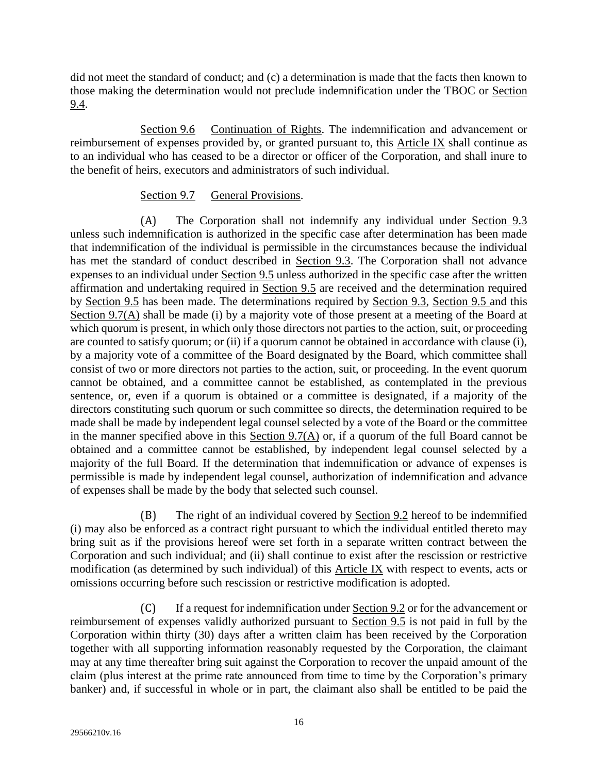did not meet the standard of conduct; and (c) a determination is made that the facts then known to those making the determination would not preclude indemnification under the TBOC or [Section](#page-17-1)  [9.4.](#page-17-1)

<span id="page-18-0"></span>Section 9.6 Continuation of Rights. The indemnification and advancement or reimbursement of expenses provided by, or granted pursuant to, this [Article IX](#page-16-7) shall continue as to an individual who has ceased to be a director or officer of the Corporation, and shall inure to the benefit of heirs, executors and administrators of such individual.

### Section 9.7 General Provisions.

<span id="page-18-2"></span><span id="page-18-1"></span>(A) The Corporation shall not indemnify any individual under [Section 9.3](#page-17-0) unless such indemnification is authorized in the specific case after determination has been made that indemnification of the individual is permissible in the circumstances because the individual has met the standard of conduct described in [Section 9.3.](#page-17-0) The Corporation shall not advance expenses to an individual under [Section 9.5](#page-17-2) unless authorized in the specific case after the written affirmation and undertaking required in [Section 9.5](#page-17-2) are received and the determination required by [Section 9.5](#page-17-2) has been made. The determinations required by [Section 9.3,](#page-17-0) [Section 9.5](#page-17-2) and this [Section 9.7\(A\)](#page-18-2) shall be made (i) by a majority vote of those present at a meeting of the Board at which quorum is present, in which only those directors not parties to the action, suit, or proceeding are counted to satisfy quorum; or (ii) if a quorum cannot be obtained in accordance with clause (i), by a majority vote of a committee of the Board designated by the Board, which committee shall consist of two or more directors not parties to the action, suit, or proceeding. In the event quorum cannot be obtained, and a committee cannot be established, as contemplated in the previous sentence, or, even if a quorum is obtained or a committee is designated, if a majority of the directors constituting such quorum or such committee so directs, the determination required to be made shall be made by independent legal counsel selected by a vote of the Board or the committee in the manner specified above in this Section  $9.7(A)$  or, if a quorum of the full Board cannot be obtained and a committee cannot be established, by independent legal counsel selected by a majority of the full Board. If the determination that indemnification or advance of expenses is permissible is made by independent legal counsel, authorization of indemnification and advance of expenses shall be made by the body that selected such counsel.

(B) The right of an individual covered by [Section 9.2](#page-16-6) hereof to be indemnified (i) may also be enforced as a contract right pursuant to which the individual entitled thereto may bring suit as if the provisions hereof were set forth in a separate written contract between the Corporation and such individual; and (ii) shall continue to exist after the rescission or restrictive modification (as determined by such individual) of this [Article IX](#page-16-7) with respect to events, acts or omissions occurring before such rescission or restrictive modification is adopted.

(C) If a request for indemnification under [Section 9.2](#page-16-6) or for the advancement or reimbursement of expenses validly authorized pursuant to [Section 9.5](#page-17-2) is not paid in full by the Corporation within thirty (30) days after a written claim has been received by the Corporation together with all supporting information reasonably requested by the Corporation, the claimant may at any time thereafter bring suit against the Corporation to recover the unpaid amount of the claim (plus interest at the prime rate announced from time to time by the Corporation's primary banker) and, if successful in whole or in part, the claimant also shall be entitled to be paid the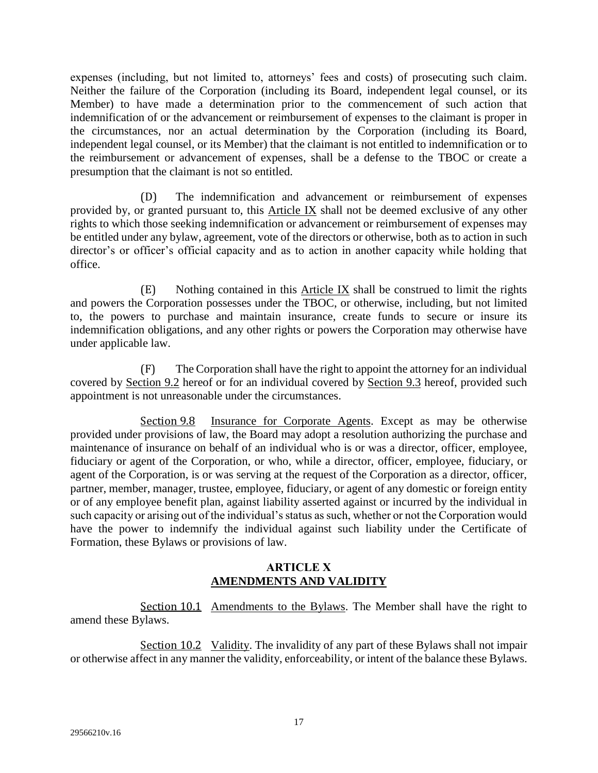expenses (including, but not limited to, attorneys' fees and costs) of prosecuting such claim. Neither the failure of the Corporation (including its Board, independent legal counsel, or its Member) to have made a determination prior to the commencement of such action that indemnification of or the advancement or reimbursement of expenses to the claimant is proper in the circumstances, nor an actual determination by the Corporation (including its Board, independent legal counsel, or its Member) that the claimant is not entitled to indemnification or to the reimbursement or advancement of expenses, shall be a defense to the TBOC or create a presumption that the claimant is not so entitled.

(D) The indemnification and advancement or reimbursement of expenses provided by, or granted pursuant to, this [Article IX](#page-16-7) shall not be deemed exclusive of any other rights to which those seeking indemnification or advancement or reimbursement of expenses may be entitled under any bylaw, agreement, vote of the directors or otherwise, both as to action in such director's or officer's official capacity and as to action in another capacity while holding that office.

(E) Nothing contained in this [Article IX](#page-16-7) shall be construed to limit the rights and powers the Corporation possesses under the TBOC, or otherwise, including, but not limited to, the powers to purchase and maintain insurance, create funds to secure or insure its indemnification obligations, and any other rights or powers the Corporation may otherwise have under applicable law.

(F) The Corporation shall have the right to appoint the attorney for an individual covered by [Section 9.2](#page-16-6) hereof or for an individual covered by [Section 9.3](#page-17-0) hereof, provided such appointment is not unreasonable under the circumstances.

<span id="page-19-0"></span>Section 9.8 Insurance for Corporate Agents. Except as may be otherwise provided under provisions of law, the Board may adopt a resolution authorizing the purchase and maintenance of insurance on behalf of an individual who is or was a director, officer, employee, fiduciary or agent of the Corporation, or who, while a director, officer, employee, fiduciary, or agent of the Corporation, is or was serving at the request of the Corporation as a director, officer, partner, member, manager, trustee, employee, fiduciary, or agent of any domestic or foreign entity or of any employee benefit plan, against liability asserted against or incurred by the individual in such capacity or arising out of the individual's status as such, whether or not the Corporation would have the power to indemnify the individual against such liability under the Certificate of Formation, these Bylaws or provisions of law.

### **ARTICLE X AMENDMENTS AND VALIDITY**

<span id="page-19-2"></span><span id="page-19-1"></span>Section 10.1 Amendments to the Bylaws. The Member shall have the right to amend these Bylaws.

<span id="page-19-3"></span>Section 10.2 Validity. The invalidity of any part of these Bylaws shall not impair or otherwise affect in any manner the validity, enforceability, or intent of the balance these Bylaws.